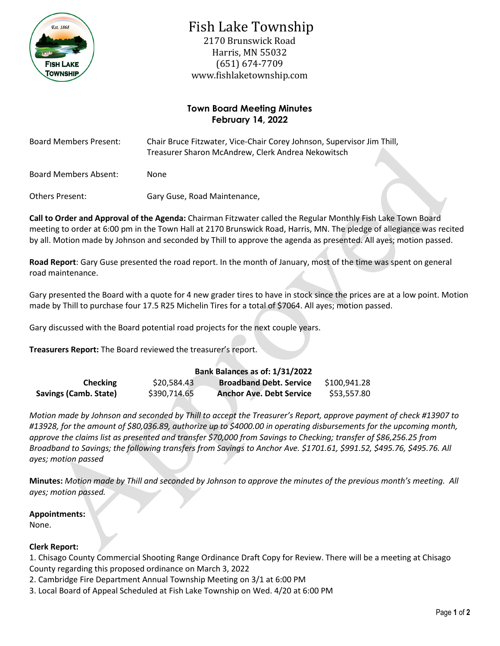

# Fish Lake Township

2170 Brunswick Road Harris, MN 55032 (651) 674-7709 www.fishlaketownship.com

## **Town Board Meeting Minutes February 14, 2022**

| <b>Board Members Present:</b> | Chair Bruce Fitzwater, Vice-Chair Corey Johnson, Supervisor Jim Thill,<br>Treasurer Sharon McAndrew, Clerk Andrea Nekowitsch |
|-------------------------------|------------------------------------------------------------------------------------------------------------------------------|
| Board Members Absent:         | None                                                                                                                         |
| Others Present:               | Gary Guse, Road Maintenance,                                                                                                 |

**Call to Order and Approval of the Agenda:** Chairman Fitzwater called the Regular Monthly Fish Lake Town Board meeting to order at 6:00 pm in the Town Hall at 2170 Brunswick Road, Harris, MN. The pledge of allegiance was recited by all. Motion made by Johnson and seconded by Thill to approve the agenda as presented. All ayes; motion passed.

**Road Report**: Gary Guse presented the road report. In the month of January, most of the time was spent on general road maintenance.

Gary presented the Board with a quote for 4 new grader tires to have in stock since the prices are at a low point. Motion made by Thill to purchase four 17.5 R25 Michelin Tires for a total of \$7064. All ayes; motion passed.

Gary discussed with the Board potential road projects for the next couple years.

**Treasurers Report:** The Board reviewed the treasurer's report.

## **Bank Balances as of: 1/31/2022 Checking** \$20,584.43 **Broadband Debt. Service** \$100,941.28 **Savings (Camb. State)** \$390,714.65 **Anchor Ave. Debt Service** \$53,557.80

*Motion made by Johnson and seconded by Thill to accept the Treasurer's Report, approve payment of check #13907 to #13928, for the amount of \$80,036.89, authorize up to \$4000.00 in operating disbursements for the upcoming month, approve the claims list as presented and transfer \$70,000 from Savings to Checking; transfer of \$86,256.25 from Broadband to Savings; the following transfers from Savings to Anchor Ave. \$1701.61, \$991.52, \$495.76, \$495.76. All ayes; motion passed*

**Minutes:** *Motion made by Thill and seconded by Johnson to approve the minutes of the previous month's meeting. All ayes; motion passed.*

## **Appointments:**

None.

## **Clerk Report:**

1. Chisago County Commercial Shooting Range Ordinance Draft Copy for Review. There will be a meeting at Chisago County regarding this proposed ordinance on March 3, 2022

2. Cambridge Fire Department Annual Township Meeting on 3/1 at 6:00 PM

3. Local Board of Appeal Scheduled at Fish Lake Township on Wed. 4/20 at 6:00 PM